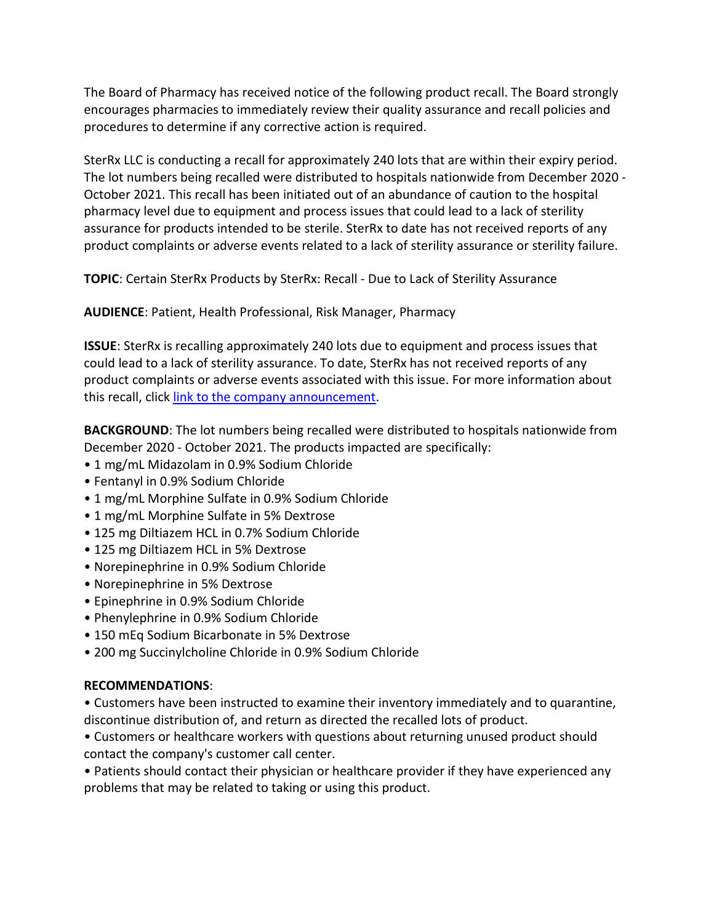The Board of Pharmacy has received notice of the following product recall. The Board strongly encourages pharmacies to immediately review their quality assurance and recall policies and procedures to determine if any corrective action is required.

 SterRx LLC is conducting a recall for approximately 240 lots that are within their expiry period. October 2021. This recall has been initiated out of an abundance of caution to the hospital pharmacy level due to equipment and process issues that could lead to a lack of sterility The lot numbers being recalled were distributed to hospitals nationwide from December 2020 assurance for products intended to be sterile. SterRx to date has not received reports of any product complaints or adverse events related to a lack of sterility assurance or sterility failure.

**TOPIC**: Certain SterRx Products by SterRx: Recall - Due to Lack of Sterility Assurance

**AUDIENCE**: Patient, Health Professional, Risk Manager, Pharmacy

 **ISSUE**: SterRx is recalling approximately 240 lots due to equipment and process issues that could lead to a lack of sterility assurance. To date, SterRx has not received reports of any product complaints or adverse events associated with this issue. For more information about this recall, click [link to the company announcement.](https://urldefense.proofpoint.com/v2/url?u=https-3A__www.fda.gov_safety_recalls-2Dmarket-2Dwithdrawals-2Dsafety-2Dalerts_sterrx-2Dllc-2Dissues-2Dvoluntary-2Dnationwide-2Drecall-2Dcertain-2Dsterrx-2Dproducts-3Futm-5Fmedium-3Demail-26utm-5Fsource-3Dgovdelivery&d=DwMFaQ&c=LHIwbLRMLqgNuqr1uGLfTA&r=2ykM7j3cEyKMbR6Jyy9zHSWNI2CvWOWnZeKnQ2Nqs2w&m=JtWFOYyuybE6KcpwEgelZB9wNwq4rEtZ_b5uolkeS6VVqdRZohyM7nw3qCxNHvKC&s=c9SrzZIQ4aQUyXkJyCufoxzFSt2IlCzEMmR2gmNCQEI&e=)

**BACKGROUND**: The lot numbers being recalled were distributed to hospitals nationwide from December 2020 - October 2021. The products impacted are specifically:

- 1 mg/mL Midazolam in 0.9% Sodium Chloride
- Fentanyl in 0.9% Sodium Chloride
- 1 mg/mL Morphine Sulfate in 0.9% Sodium Chloride
- 1 mg/mL Morphine Sulfate in 5% Dextrose
- 125 mg Diltiazem HCL in 0.7% Sodium Chloride
- 125 mg Diltiazem HCL in 5% Dextrose
- Norepinephrine in 0.9% Sodium Chloride
- Norepinephrine in 5% Dextrose
- Epinephrine in 0.9% Sodium Chloride
- Phenylephrine in 0.9% Sodium Chloride
- 150 mEq Sodium Bicarbonate in 5% Dextrose
- 200 mg Succinylcholine Chloride in 0.9% Sodium Chloride

## **RECOMMENDATIONS**:

 • Customers have been instructed to examine their inventory immediately and to quarantine, discontinue distribution of, and return as directed the recalled lots of product.

• Customers or healthcare workers with questions about returning unused product should contact the company's customer call center.

• Patients should contact their physician or healthcare provider if they have experienced any problems that may be related to taking or using this product.